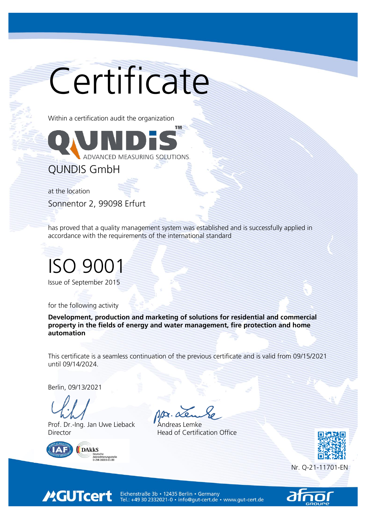# Certificate

Within a certification audit the organization



QUNDIS GmbH

at the location

Sonnentor 2, 99098 Erfurt

has proved that a quality management system was established and is successfully applied in accordance with the requirements of the international standard

#### ISO 9001

Issue of September 2015

for the following activity

Development, production and marketing of solutions for residential and commercial property in the fields of energy and water management, fire protection and home automation

This certificate is a seamless continuation of the previous certificate and is valid from 09/15/2021 until 09/14/2024.

Berlin, 09/13/2021

Prof. Dr.-Ing. Jan Uwe Lieback **Andreas Lemke** Director **Head of Certification Office** 



**MGUTcert** 



Nr. Q-21-11701-EN



Eichenstraße 3b • 12435 Berlin • Germany<br>Tel.: +49 30 2332021-0 • info@gut-cert.de • www.gut-cert.de